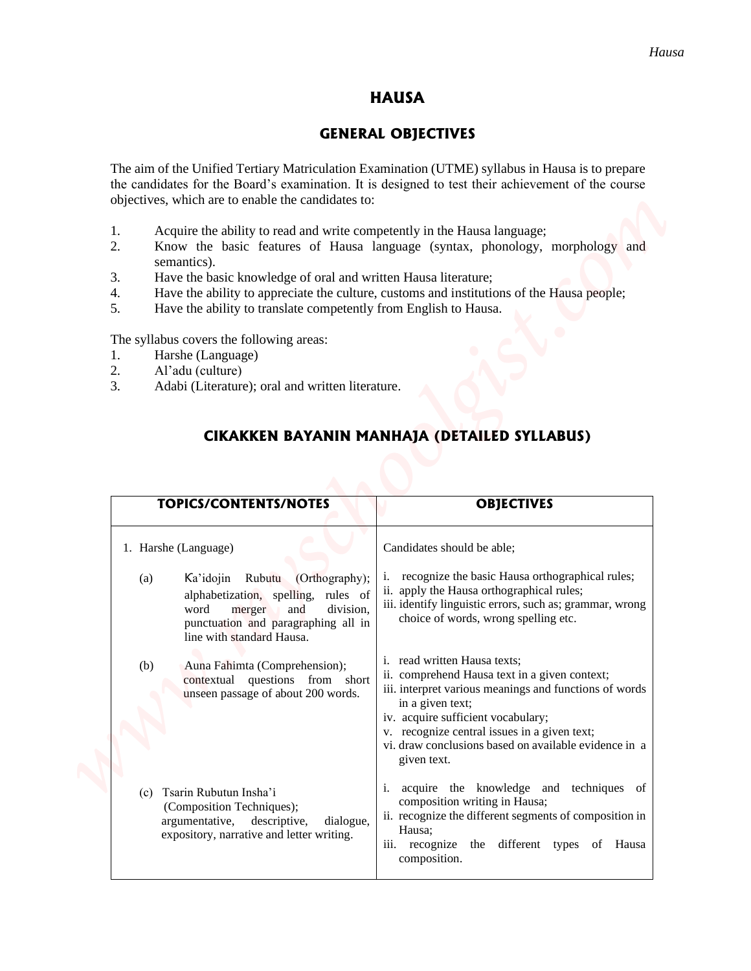### **HAUSA**

### **GENERAL OBJECTIVES**

- 1. Acquire the ability to read and write competently in the Hausa language;
- 2. Know the basic features of Hausa language (syntax, phonology, morphology and semantics).
- 3. Have the basic knowledge of oral and written Hausa literature;
- 4. Have the ability to appreciate the culture, customs and institutions of the Hausa people;
- 5. Have the ability to translate competently from English to Hausa.

- 1. Harshe (Language)
- 2. Al'adu (culture)
- 3. Adabi (Literature); oral and written literature.

### **CIKAKKEN BAYANIN MANHAJA (DETAILED SYLLABUS)**

|                                                                                                                                                                                                                                                                                                                                                                                                                        | <b>HAUSA</b>                                                                                                                                                                                                                                                                                                              |
|------------------------------------------------------------------------------------------------------------------------------------------------------------------------------------------------------------------------------------------------------------------------------------------------------------------------------------------------------------------------------------------------------------------------|---------------------------------------------------------------------------------------------------------------------------------------------------------------------------------------------------------------------------------------------------------------------------------------------------------------------------|
|                                                                                                                                                                                                                                                                                                                                                                                                                        | <b>GENERAL OBJECTIVES</b>                                                                                                                                                                                                                                                                                                 |
| objectives, which are to enable the candidates to:                                                                                                                                                                                                                                                                                                                                                                     | The aim of the Unified Tertiary Matriculation Examination (UTME) syllabus in Hausa is to prepare<br>the candidates for the Board's examination. It is designed to test their achievement of the course                                                                                                                    |
| Acquire the ability to read and write competently in the Hausa language;<br>1.<br>2.<br>semantics).<br>3.<br>Have the basic knowledge of oral and written Hausa literature;<br>4.<br>5.<br>Have the ability to translate competently from English to Hausa.<br>The syllabus covers the following areas:<br>Harshe (Language)<br>1.<br>2.<br>Al'adu (culture)<br>3.<br>Adabi (Literature); oral and written literature. | Know the basic features of Hausa language (syntax, phonology, morphology and<br>Have the ability to appreciate the culture, customs and institutions of the Hausa people;                                                                                                                                                 |
|                                                                                                                                                                                                                                                                                                                                                                                                                        | CIKAKKEN BAYANIN MANHAJA (DETAILED SYLLABUS)                                                                                                                                                                                                                                                                              |
| <b>TOPICS/CONTENTS/NOTES</b>                                                                                                                                                                                                                                                                                                                                                                                           | <b>OBJECTIVES</b>                                                                                                                                                                                                                                                                                                         |
| 1. Harshe (Language)                                                                                                                                                                                                                                                                                                                                                                                                   | Candidates should be able;                                                                                                                                                                                                                                                                                                |
| (Orthography);<br>Ka'idojin Rubutu<br>(a)<br>alphabetization, spelling, rules of<br>word<br>merger<br>and<br>division,<br>punctuation and paragraphing all in<br>line with standard Hausa.                                                                                                                                                                                                                             | recognize the basic Hausa orthographical rules;<br>ii. apply the Hausa orthographical rules;<br>iii. identify linguistic errors, such as; grammar, wrong<br>choice of words, wrong spelling etc.                                                                                                                          |
| Auna Fahimta (Comprehension);<br>(b)<br>contextual questions from short<br>unseen passage of about 200 words.                                                                                                                                                                                                                                                                                                          | i. read written Hausa texts;<br>ii. comprehend Hausa text in a given context;<br>iii. interpret various meanings and functions of words<br>in a given text;<br>iv. acquire sufficient vocabulary;<br>v. recognize central issues in a given text;<br>vi. draw conclusions based on available evidence in a<br>given text. |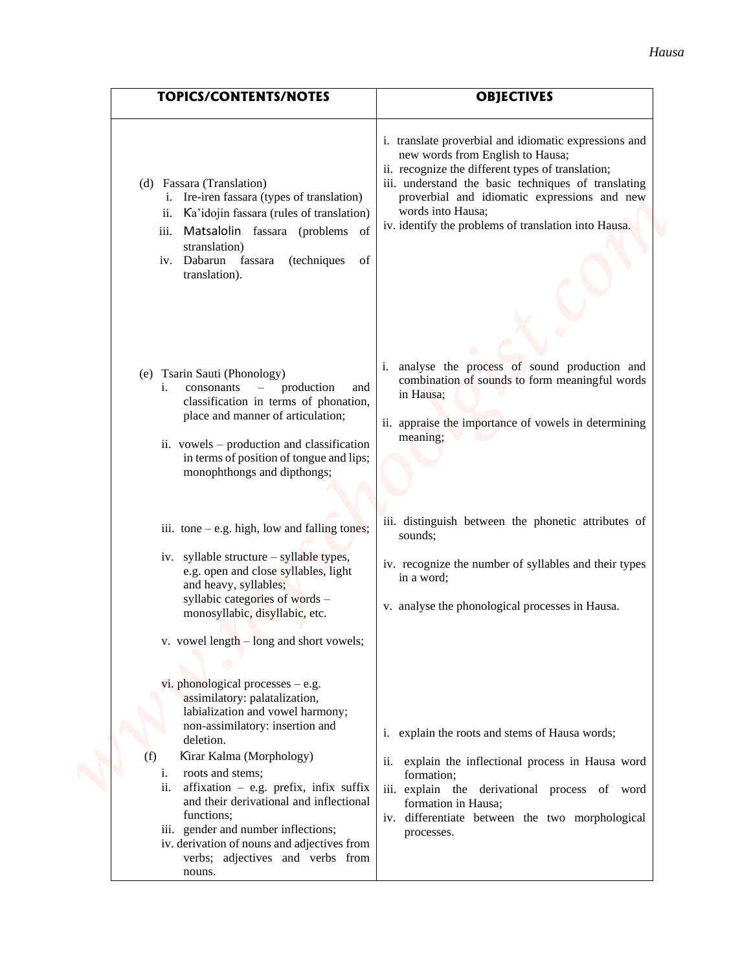| <b>TOPICS/CONTENTS/NOTES</b>                                                                                                                                                                                                                                                                                                                                                                                                                             | <b>OBJECTIVES</b>                                                                                                                                                                                                                                                                                                                  |
|----------------------------------------------------------------------------------------------------------------------------------------------------------------------------------------------------------------------------------------------------------------------------------------------------------------------------------------------------------------------------------------------------------------------------------------------------------|------------------------------------------------------------------------------------------------------------------------------------------------------------------------------------------------------------------------------------------------------------------------------------------------------------------------------------|
| (d) Fassara (Translation)<br>i. Ire-iren fassara (types of translation)<br>Ka'idojin fassara (rules of translation)<br>ii.<br>iii. Matsalolin fassara (problems of<br>stranslation)<br>iv. Dabarun fassara<br>(techniques<br>of<br>translation).                                                                                                                                                                                                         | i. translate proverbial and idiomatic expressions and<br>new words from English to Hausa;<br>ii. recognize the different types of translation;<br>iii. understand the basic techniques of translating<br>proverbial and idiomatic expressions and new<br>words into Hausa;<br>iv. identify the problems of translation into Hausa. |
| Tsarin Sauti (Phonology)<br>(e)<br>$consonants$ – production<br>i.<br>and<br>classification in terms of phonation,<br>place and manner of articulation;<br>ii. vowels – production and classification<br>in terms of position of tongue and lips;<br>monophthongs and dipthongs;                                                                                                                                                                         | analyse the process of sound production and<br>combination of sounds to form meaningful words<br>in Hausa;<br>ii. appraise the importance of vowels in determining<br>meaning;                                                                                                                                                     |
| iii. $\text{tone} - \text{e.g. high, low and falling tones};$                                                                                                                                                                                                                                                                                                                                                                                            | iii. distinguish between the phonetic attributes of<br>sounds;                                                                                                                                                                                                                                                                     |
| iv. syllable structure – syllable types,<br>e.g. open and close syllables, light<br>and heavy, syllables;                                                                                                                                                                                                                                                                                                                                                | iv. recognize the number of syllables and their types<br>in a word;                                                                                                                                                                                                                                                                |
| syllabic categories of words -<br>monosyllabic, disyllabic, etc.                                                                                                                                                                                                                                                                                                                                                                                         | v. analyse the phonological processes in Hausa.                                                                                                                                                                                                                                                                                    |
| v. vowel length – long and short vowels;                                                                                                                                                                                                                                                                                                                                                                                                                 |                                                                                                                                                                                                                                                                                                                                    |
| vi. phonological processes $-$ e.g.<br>assimilatory: palatalization,<br>labialization and vowel harmony;<br>non-assimilatory: insertion and<br>deletion.<br>Kirar Kalma (Morphology)<br>(f)<br>roots and stems;<br>i.<br>ii. affixation $-$ e.g. prefix, infix suffix<br>and their derivational and inflectional<br>functions;<br>iii. gender and number inflections;<br>iv. derivation of nouns and adjectives from<br>verbs; adjectives and verbs from | i. explain the roots and stems of Hausa words;<br>explain the inflectional process in Hausa word<br>ii.<br>formation;<br>iii. explain the derivational process of word<br>formation in Hausa;<br>iv. differentiate between the two morphological<br>processes.                                                                     |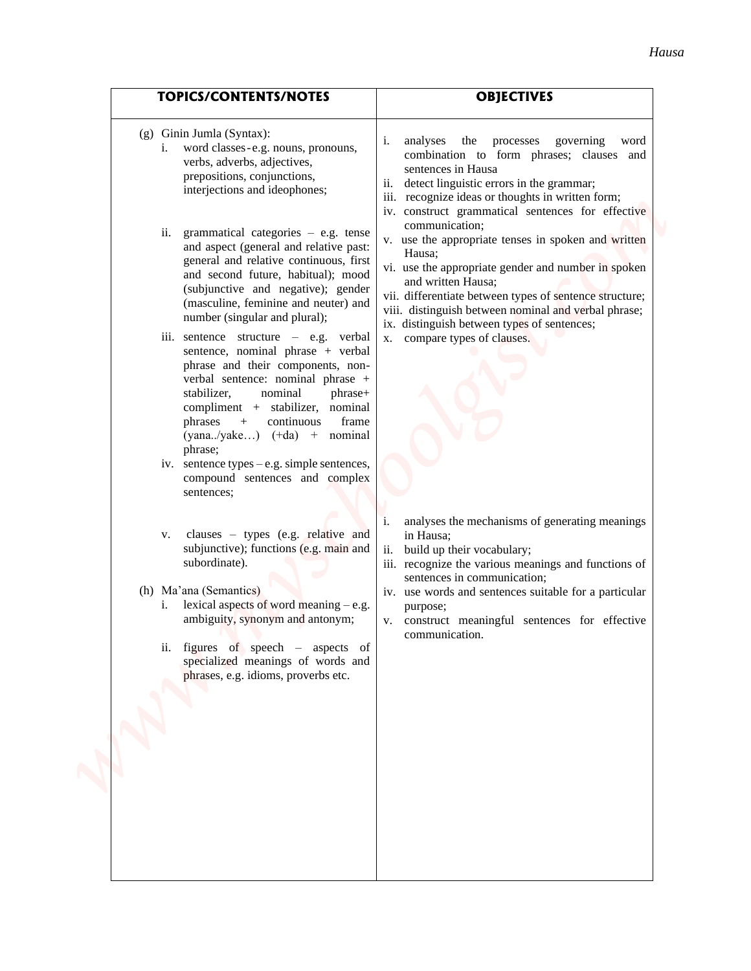| <b>TOPICS/CONTENTS/NOTES</b>                                                                                                                                                                                                                                                                                                                                                                                                                                                                                                                                                                                                                                                                                                                                                                                                                                                                                                                                                                                                                                                                                                                                                                                                  | <b>OBJECTIVES</b>                                                                                                                                                                                                                                                                                                                                                                                                                                                                                                                                                                                                                                                                                                                                                                                                                                                                                                                                                                          |
|-------------------------------------------------------------------------------------------------------------------------------------------------------------------------------------------------------------------------------------------------------------------------------------------------------------------------------------------------------------------------------------------------------------------------------------------------------------------------------------------------------------------------------------------------------------------------------------------------------------------------------------------------------------------------------------------------------------------------------------------------------------------------------------------------------------------------------------------------------------------------------------------------------------------------------------------------------------------------------------------------------------------------------------------------------------------------------------------------------------------------------------------------------------------------------------------------------------------------------|--------------------------------------------------------------------------------------------------------------------------------------------------------------------------------------------------------------------------------------------------------------------------------------------------------------------------------------------------------------------------------------------------------------------------------------------------------------------------------------------------------------------------------------------------------------------------------------------------------------------------------------------------------------------------------------------------------------------------------------------------------------------------------------------------------------------------------------------------------------------------------------------------------------------------------------------------------------------------------------------|
| $(g)$ Ginin Jumla (Syntax):<br>word classes-e.g. nouns, pronouns,<br>verbs, adverbs, adjectives,<br>prepositions, conjunctions,<br>interjections and ideophones;<br>grammatical categories $-$ e.g. tense<br>ii.<br>and aspect (general and relative past:<br>general and relative continuous, first<br>and second future, habitual); mood<br>(subjunctive and negative); gender<br>(masculine, feminine and neuter) and<br>number (singular and plural);<br>iii. sentence structure – e.g. verbal<br>sentence, nominal phrase + verbal<br>phrase and their components, non-<br>verbal sentence: nominal phrase +<br>stabilizer,<br>nominal<br>phrase+<br>compliment + stabilizer, nominal<br>continuous<br>frame<br>phrases<br>$+$<br>$(yana./yake)$ $(+da)$ +<br>nominal<br>phrase;<br>iv. sentence types $-e.g.$ simple sentences,<br>compound sentences and complex<br>sentences;<br>clauses $-$ types (e.g. relative and<br>V.<br>subjunctive); functions (e.g. main and<br>subordinate).<br>(h) Ma'ana (Semantics)<br>i. lexical aspects of word meaning $-e.g.$<br>ambiguity, synonym and antonym;<br>ii. figures of speech $-$ aspects of<br>specialized meanings of words and<br>phrases, e.g. idioms, proverbs etc. | governing<br>i.<br>analyses<br>the<br>processes<br>word<br>combination to form phrases; clauses and<br>sentences in Hausa<br>ii. detect linguistic errors in the grammar;<br>iii. recognize ideas or thoughts in written form;<br>iv. construct grammatical sentences for effective<br>communication:<br>v. use the appropriate tenses in spoken and written<br>Hausa:<br>vi. use the appropriate gender and number in spoken<br>and written Hausa;<br>vii. differentiate between types of sentence structure;<br>viii. distinguish between nominal and verbal phrase;<br>ix. distinguish between types of sentences;<br>x. compare types of clauses.<br>analyses the mechanisms of generating meanings<br>in Hausa;<br>build up their vocabulary;<br>ii.<br>iii. recognize the various meanings and functions of<br>sentences in communication;<br>iv. use words and sentences suitable for a particular<br>purpose;<br>v. construct meaningful sentences for effective<br>communication. |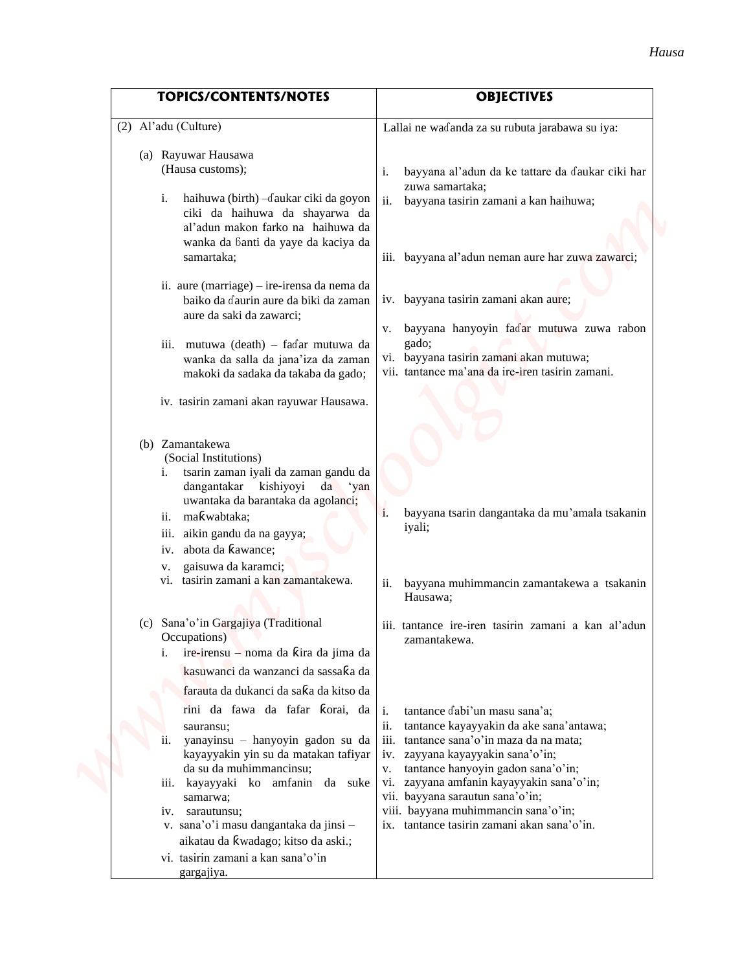| <b>TOPICS/CONTENTS/NOTES</b>                                                                                                                                                                                                                                                                                                                                                                                                                                                                               | <b>OBJECTIVES</b>                                                                                                                                                                                                                                                                                                                                                                                           |
|------------------------------------------------------------------------------------------------------------------------------------------------------------------------------------------------------------------------------------------------------------------------------------------------------------------------------------------------------------------------------------------------------------------------------------------------------------------------------------------------------------|-------------------------------------------------------------------------------------------------------------------------------------------------------------------------------------------------------------------------------------------------------------------------------------------------------------------------------------------------------------------------------------------------------------|
| (2) Al'adu (Culture)                                                                                                                                                                                                                                                                                                                                                                                                                                                                                       | Lallai ne waɗanda za su rubuta jarabawa su iya:                                                                                                                                                                                                                                                                                                                                                             |
|                                                                                                                                                                                                                                                                                                                                                                                                                                                                                                            |                                                                                                                                                                                                                                                                                                                                                                                                             |
| (a) Rayuwar Hausawa<br>(Hausa customs);<br>haihuwa (birth) - daukar ciki da goyon<br>i.<br>ciki da haihuwa da shayarwa da<br>al'adun makon farko na haihuwa da<br>wanka da banti da yaye da kaciya da<br>samartaka;<br>ii. aure (marriage) – ire-irensa da nema da<br>baiko da daurin aure da biki da zaman<br>aure da saki da zawarci;<br>iii. mutuwa (death) - fadar mutuwa da<br>wanka da salla da jana'iza da zaman<br>makoki da sadaka da takaba da gado;<br>iv. tasirin zamani akan rayuwar Hausawa. | bayyana al'adun da ke tattare da ɗaukar ciki har<br>i.<br>zuwa samartaka;<br>bayyana tasirin zamani a kan haihuwa;<br>iii. bayyana al'adun neman aure har zuwa zawarci;<br>iv. bayyana tasirin zamani akan aure;<br>bayyana hanyoyin faɗar mutuwa zuwa rabon<br>V.<br>gado;<br>vi. bayyana tasirin zamani akan mutuwa;<br>vii. tantance ma'ana da ire-iren tasirin zamani.                                  |
| (b) Zamantakewa<br>(Social Institutions)<br>i. tsarin zaman iyali da zaman gandu da<br>dangantakar kishiyoyi da 'yan<br>uwantaka da barantaka da agolanci;<br>makwabtaka;<br>11.<br>aikin gandu da na gayya;<br>111.<br>abota da kawance;<br>IV.<br>gaisuwa da karamci;<br>v.<br>tasirin zamani a kan zamantakewa.<br>vi.<br>(c) Sana'o'in Gargajiya (Traditional<br>Occupations)<br>ire-irensu - noma da kira da jima da                                                                                  | bayyana tsarin dangantaka da mu'amala tsakanin<br><i>iyali;</i><br>bayyana muhimmancin zamantakewa a tsakanin<br>Hausawa;<br>iii. tantance ire-iren tasirin zamani a kan al'adun<br>zamantakewa.                                                                                                                                                                                                            |
| kasuwanci da wanzanci da sassaka da<br>farauta da dukanci da saka da kitso da<br>rini da fawa da fafar korai, da<br>sauransu;<br>yanayinsu - hanyoyin gadon su da<br>kayayyakin yin su da matakan tafiyar<br>da su da muhimmancinsu;<br>iii. kayayyaki ko amfanin da suke<br>samarwa;<br>iv. sarautunsu;<br>v. sana'o'i masu dangantaka da jinsi -<br>aikatau da kwadago; kitso da aski.;<br>vi. tasirin zamani a kan sana'o'in                                                                            | tantance dabi'un masu sana'a;<br>i.<br>ii.<br>tantance kayayyakin da ake sana'antawa;<br>tantance sana'o'in maza da na mata;<br>$\overline{111}$ .<br>iv. zayyana kayayyakin sana'o'in;<br>tantance hanyoyin gadon sana'o'in;<br>V.<br>vi. zayyana amfanin kayayyakin sana'o'in;<br>vii. bayyana sarautun sana'o'in;<br>viii. bayyana muhimmancin sana'o'in;<br>ix. tantance tasirin zamani akan sana'o'in. |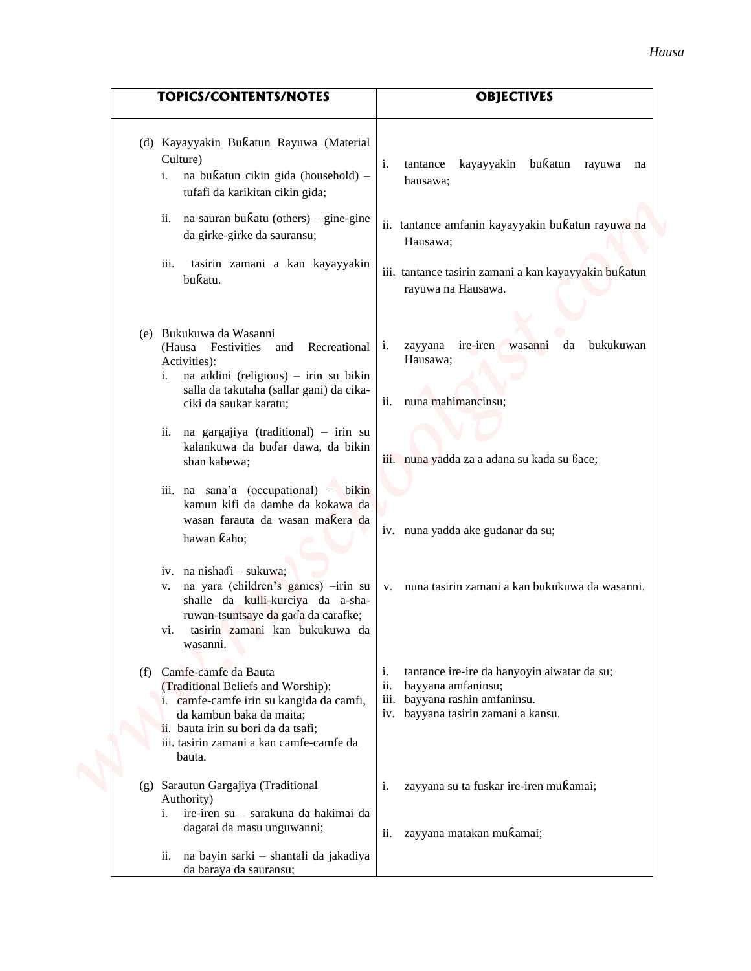|     | <b>TOPICS/CONTENTS/NOTES</b>                                                                                                                                                                                                    | <b>OBJECTIVES</b>                                                                                                                                          |
|-----|---------------------------------------------------------------------------------------------------------------------------------------------------------------------------------------------------------------------------------|------------------------------------------------------------------------------------------------------------------------------------------------------------|
|     | (d) Kayayyakin Bukatun Rayuwa (Material<br>Culture)<br>na bukatun cikin gida (household) -<br>i.<br>tufafi da karikitan cikin gida;                                                                                             | kayayyakin bukatun rayuwa na<br>i.<br>tantance<br>hausawa;                                                                                                 |
|     | ii. na sauran bu $\kappa$ atu (others) – gine-gine<br>da girke-girke da sauransu;                                                                                                                                               | ii. tantance amfanin kayayyakin bukatun rayuwa na<br>Hausawa;                                                                                              |
|     | iii.<br>tasirin zamani a kan kayayyakin<br>bukatu.                                                                                                                                                                              | iii. tantance tasirin zamani a kan kayayyakin bukatun<br>rayuwa na Hausawa.                                                                                |
|     | (e) Bukukuwa da Wasanni<br>(Hausa Festivities<br>Recreational<br>and<br>Activities):<br>i. na addini (religious) – irin su bikin<br>salla da takutaha (sallar gani) da cika-<br>ciki da saukar karatu;                          | ire-iren<br>bukukuwan<br>zayyana<br>wasanni<br>da<br>1.<br>Hausawa;<br>ii.<br>nuna mahimancinsu;                                                           |
|     | ii. na gargajiya (traditional) - irin su<br>kalankuwa da buɗar dawa, da bikin<br>shan kabewa;                                                                                                                                   | iii. nuna yadda za a adana su kada su bace;                                                                                                                |
|     | iii. na sana'a (occupational) $-$ bikin<br>kamun kifi da dambe da kokawa da<br>wasan farauta da wasan makera da<br>hawan kaho;                                                                                                  | iv. nuna yadda ake gudanar da su;                                                                                                                          |
|     | iv. na nishadi - sukuwa;<br>v. na yara (children's games) -irin su<br>shalle da kulli-kurciya da a-sha-<br>ruwan-tsuntsaye da gada da carafke;<br>tasirin zamani kan bukukuwa da<br>vi.<br>wasanni.                             | v. nuna tasirin zamani a kan bukukuwa da wasanni.                                                                                                          |
| (f) | Camfe-camfe da Bauta<br>(Traditional Beliefs and Worship):<br>i. camfe-camfe irin su kangida da camfi,<br>da kambun baka da maita;<br>ii. bauta irin su bori da da tsafi;<br>iii. tasirin zamani a kan camfe-camfe da<br>bauta. | tantance ire-ire da hanyoyin aiwatar da su;<br>i.<br>ii.<br>bayyana amfaninsu;<br>bayyana rashin amfaninsu.<br>iii.<br>iv. bayyana tasirin zamani a kansu. |
|     | (g) Sarautun Gargajiya (Traditional<br>Authority)<br>ire-iren su - sarakuna da hakimai da<br>i.<br>dagatai da masu unguwanni;                                                                                                   | zayyana su ta fuskar ire-iren mukamai;<br>i.                                                                                                               |
|     | ii. na bayin sarki - shantali da jakadiya<br>da baraya da sauransu;                                                                                                                                                             | ii.<br>zayyana matakan muƙamai;                                                                                                                            |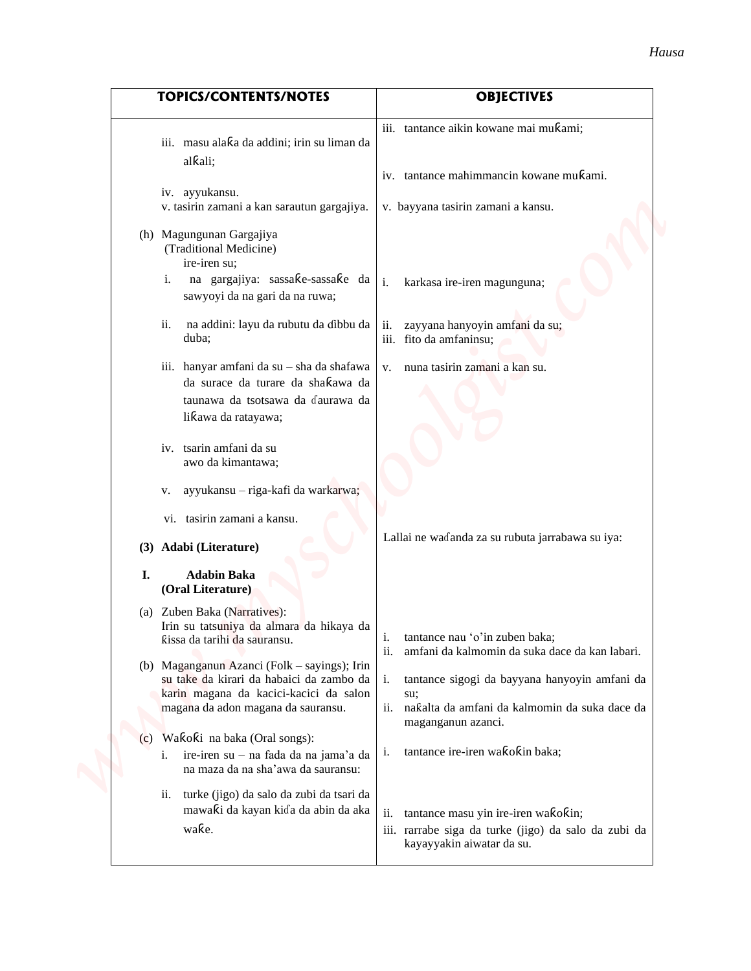| <b>TOPICS/CONTENTS/NOTES</b>                                                                                                                                                                                                                                                                                                                                                                                                                                                                                                                     | <b>OBJECTIVES</b>                                                                                                                                                                                                                                                                                                                                                                                            |
|--------------------------------------------------------------------------------------------------------------------------------------------------------------------------------------------------------------------------------------------------------------------------------------------------------------------------------------------------------------------------------------------------------------------------------------------------------------------------------------------------------------------------------------------------|--------------------------------------------------------------------------------------------------------------------------------------------------------------------------------------------------------------------------------------------------------------------------------------------------------------------------------------------------------------------------------------------------------------|
| iii. masu alaka da addini; irin su liman da<br>alkali;<br>iv. ayyukansu.<br>v. tasirin zamani a kan sarautun gargajiya.<br>(h) Magungunan Gargajiya<br>(Traditional Medicine)<br>ire-iren su;<br>na gargajiya: sassake-sassake da<br>i.<br>sawyoyi da na gari da na ruwa;<br>na addini: layu da rubutu da ɗibbu da<br>ii.<br>duba;<br>iii. hanyar amfani da su - sha da shafawa                                                                                                                                                                  | iii. tantance aikin kowane mai mukami;<br>iv. tantance mahimmancin kowane mukami.<br>v. bayyana tasirin zamani a kansu.<br>i.<br>karkasa ire-iren magunguna;<br>zayyana hanyoyin amfani da su;<br>ii.<br>iii. fito da amfaninsu;<br>nuna tasirin zamani a kan su.<br>V.                                                                                                                                      |
| da surace da turare da shaƙawa da<br>taunawa da tsotsawa da daurawa da<br>likawa da ratayawa;<br>iv. tsarin amfani da su<br>awo da kimantawa;<br>ayyukansu - riga-kafi da warkarwa;<br>V.<br>vi. tasirin zamani a kansu.<br>Adabi (Literature)<br>(3)<br>I.<br><b>Adabin Baka</b>                                                                                                                                                                                                                                                                | Lallai ne waɗanda za su rubuta jarrabawa su iya:                                                                                                                                                                                                                                                                                                                                                             |
| (Oral Literature)<br>(a) Zuben Baka (Narratives):<br>Irin su tatsuniya da almara da hikaya da<br>ƙissa da tarihi da sauransu.<br>(b) Maganganun Azanci (Folk – sayings); Irin<br>su take da kirari da habaici da zambo da<br>karin magana da kacici-kacici da salon<br>magana da adon magana da sauransu.<br>Wakoki na baka (Oral songs):<br>$\left( c\right)$<br>i. ire-iren su - na fada da na jama'a da<br>na maza da na sha'awa da sauransu:<br>ii. turke (jigo) da salo da zubi da tsari da<br>mawaƙi da kayan kiɗa da abin da aka<br>wake. | tantance nau 'o'in zuben baka;<br>i.<br>ii.<br>amfani da kalmomin da suka dace da kan labari.<br>tantance sigogi da bayyana hanyoyin amfani da<br>su;<br>ii. naƙalta da amfani da kalmomin da suka dace da<br>maganganun azanci.<br>tantance ire-iren wakokin baka;<br>i.<br>ii.<br>tantance masu yin ire-iren wakokin;<br>iii. rarrabe siga da turke (jigo) da salo da zubi da<br>kayayyakin aiwatar da su. |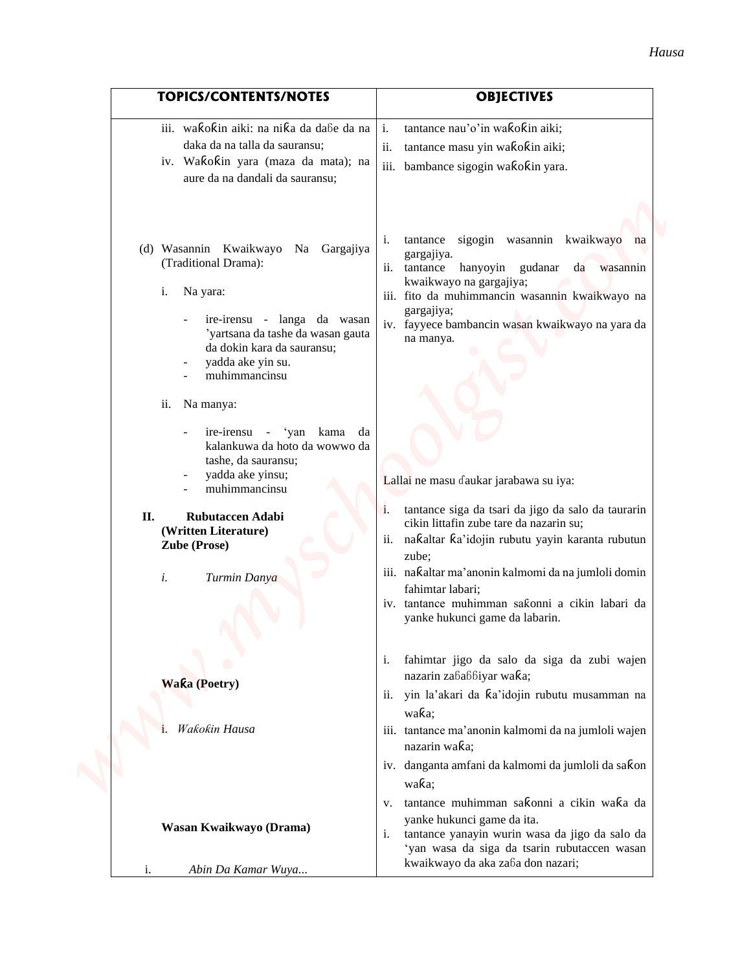| <b>TOPICS/CONTENTS/NOTES</b>                                                                                                                                                                                                          | <b>OBJECTIVES</b>                                                                                                                                                                                                                                                                                                                                                                |
|---------------------------------------------------------------------------------------------------------------------------------------------------------------------------------------------------------------------------------------|----------------------------------------------------------------------------------------------------------------------------------------------------------------------------------------------------------------------------------------------------------------------------------------------------------------------------------------------------------------------------------|
| iii. wakokin aiki: na nika da dabe da na<br>daka da na talla da sauransu;<br>iv. Wakokin yara (maza da mata); na<br>aure da na dandali da sauransu;                                                                                   | tantance nau'o'in wakokin aiki;<br>i.<br>tantance masu yin wakokin aiki;<br>ii.<br>iii. bambance sigogin wakokin yara.                                                                                                                                                                                                                                                           |
| (d) Wasannin Kwaikwayo Na Gargajiya<br>(Traditional Drama):<br>i.<br>Na yara:<br>ire-irensu - langa da wasan<br>'yartsana da tashe da wasan gauta<br>da dokin kara da sauransu;<br>yadda ake yin su.<br>muhimmancinsu                 | tantance sigogin wasannin kwaikwayo na<br>i.<br>gargajiya.<br>hanyoyin gudanar da wasannin<br>tantance<br>kwaikwayo na gargajiya;<br>iii. fito da muhimmancin wasannin kwaikwayo na<br>gargajiya;<br>iv. fayyece bambancin wasan kwaikwayo na yara da<br>na manya.                                                                                                               |
| ii.<br>Na manya:<br>ire-irensu - 'yan kama<br>da<br>kalankuwa da hoto da wowwo da<br>tashe, da sauransu;<br>yadda ake yinsu;<br>muhimmancinsu<br>Rubutaccen Adabi<br>П.<br>(Written Literature)<br>Zube (Prose)<br>i.<br>Turmin Danya | Lallai ne masu daukar jarabawa su iya:<br>tantance siga da tsari da jigo da salo da taurarin<br>1.<br>cikin littafin zube tare da nazarin su;<br>nakaltar ka'idojin rubutu yayin karanta rubutun<br>11.<br>zube;<br>iii. naƙaltar ma'anonin kalmomi da na jumloli domin<br>fahimtar labari;<br>iv. tantance muhimman saƙonni a cikin labari da<br>yanke hukunci game da labarin. |
| <b>Waka (Poetry)</b><br>Wakokin Hausa<br>i.                                                                                                                                                                                           | fahimtar jigo da salo da siga da zubi wajen<br>i.<br>nazarin zababbiyar waka;<br>ii. yin la'akari da ka'idojin rubutu musamman na<br>waka;<br>iii. tantance ma'anonin kalmomi da na jumloli wajen<br>nazarin waka;                                                                                                                                                               |
| Wasan Kwaikwayo (Drama)                                                                                                                                                                                                               | iv. danganta amfani da kalmomi da jumloli da sakon<br>waka;<br>tantance muhimman sakonni a cikin waka da<br>V.<br>yanke hukunci game da ita.<br>tantance yanayin wurin wasa da jigo da salo da<br>'yan wasa da siga da tsarin rubutaccen wasan<br>kwaikwayo da aka zaɓa don nazari;                                                                                              |
| Abin Da Kamar Wuya                                                                                                                                                                                                                    |                                                                                                                                                                                                                                                                                                                                                                                  |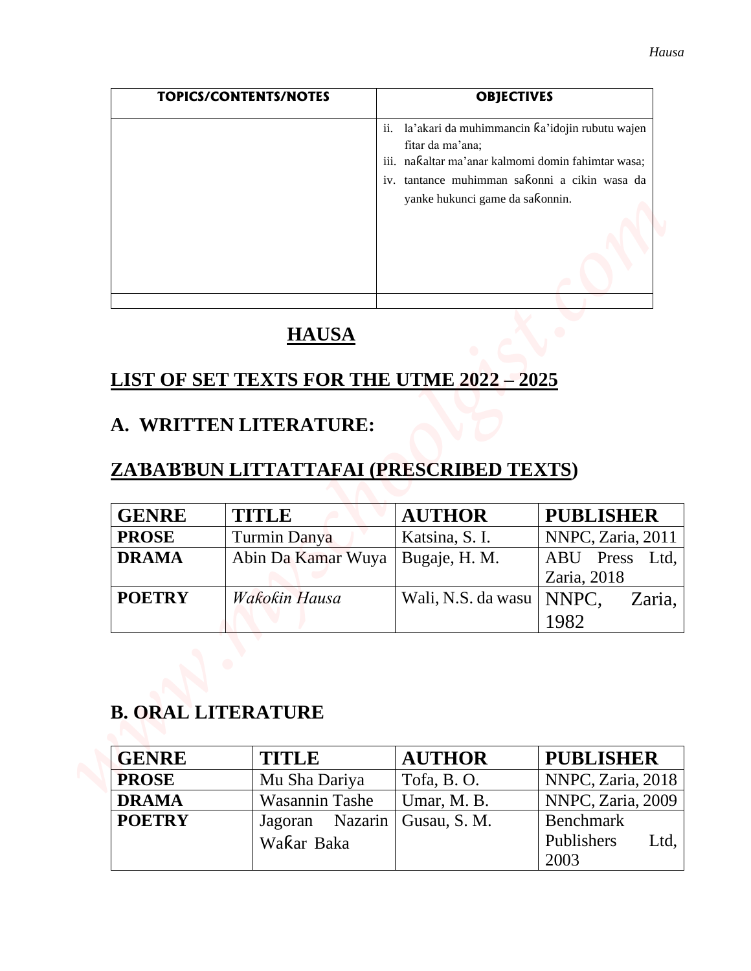|                              | <b>TOPICS/CONTENTS/NOTES</b>                                      | <b>OBJECTIVES</b>                                                                                                                                                                                                   |                                       |
|------------------------------|-------------------------------------------------------------------|---------------------------------------------------------------------------------------------------------------------------------------------------------------------------------------------------------------------|---------------------------------------|
|                              |                                                                   | la'akari da muhimmancin ƙa'idojin rubutu wajen<br>ii.<br>fitar da ma'ana;<br>iii. naƙaltar ma'anar kalmomi domin fahimtar wasa;<br>iv. tantance muhimman sakonni a cikin wasa da<br>yanke hukunci game da sakonnin. |                                       |
|                              | <b>HAUSA</b><br><b>LIST OF SET TEXTS FOR THE UTME 2022 - 2025</b> |                                                                                                                                                                                                                     |                                       |
|                              |                                                                   |                                                                                                                                                                                                                     |                                       |
|                              | A. WRITTEN LITERATURE:<br>ZABABBUN LITTATTAFAI (PRESCRIBED TEXTS) |                                                                                                                                                                                                                     |                                       |
|                              | <b>TITLE</b>                                                      |                                                                                                                                                                                                                     |                                       |
| <b>GENRE</b><br><b>PROSE</b> |                                                                   | <b>AUTHOR</b><br>Katsina, S. I.                                                                                                                                                                                     | <b>PUBLISHER</b><br>NNPC, Zaria, 2011 |
| <b>DRAMA</b>                 | Turmin Danya<br>Abin Da Kamar Wuya                                | Bugaje, H. M.                                                                                                                                                                                                       | ABU Press Ltd,<br>Zaria, 2018         |

# **HAUSA**

### **LIST OF SET TEXTS FOR THE UTME 2022 – 2025**

### **A. WRITTEN LITERATURE:**

## **ZAƁAƁƁUN LITTATTAFAI (PRESCRIBED TEXTS)**

| <b>GENRE</b>  | <b>TITLE</b>       | <b>AUTHOR</b>      | <b>PUBLISHER</b>  |
|---------------|--------------------|--------------------|-------------------|
| <b>PROSE</b>  | Turmin Danya       | Katsina, S. I.     | NNPC, Zaria, 2011 |
| <b>DRAMA</b>  | Abin Da Kamar Wuya | Bugaje, H. M.      | ABU Press Ltd,    |
|               |                    |                    | Zaria, 2018       |
| <b>POETRY</b> | Wakokin Hausa      | Wali, N.S. da wasu | I NNPC.<br>Zaria, |
|               |                    |                    | 1982              |

## **B. ORAL LITERATURE**

| <b>GENRE</b>  | <b>TITLE</b>                   | <b>AUTHOR</b> | <b>PUBLISHER</b>   |
|---------------|--------------------------------|---------------|--------------------|
| <b>PROSE</b>  | Mu Sha Dariya                  | Tofa, B.O.    | NNPC, Zaria, 2018  |
| <b>DRAMA</b>  | Wasannin Tashe                 | Umar, M. B.   | NNPC, Zaria, 2009  |
| <b>POETRY</b> | Jagoran Nazarin   Gusau, S. M. |               | Benchmark          |
|               | Wakar Baka                     |               | Publishers<br>Ltd, |
|               |                                |               | 2003               |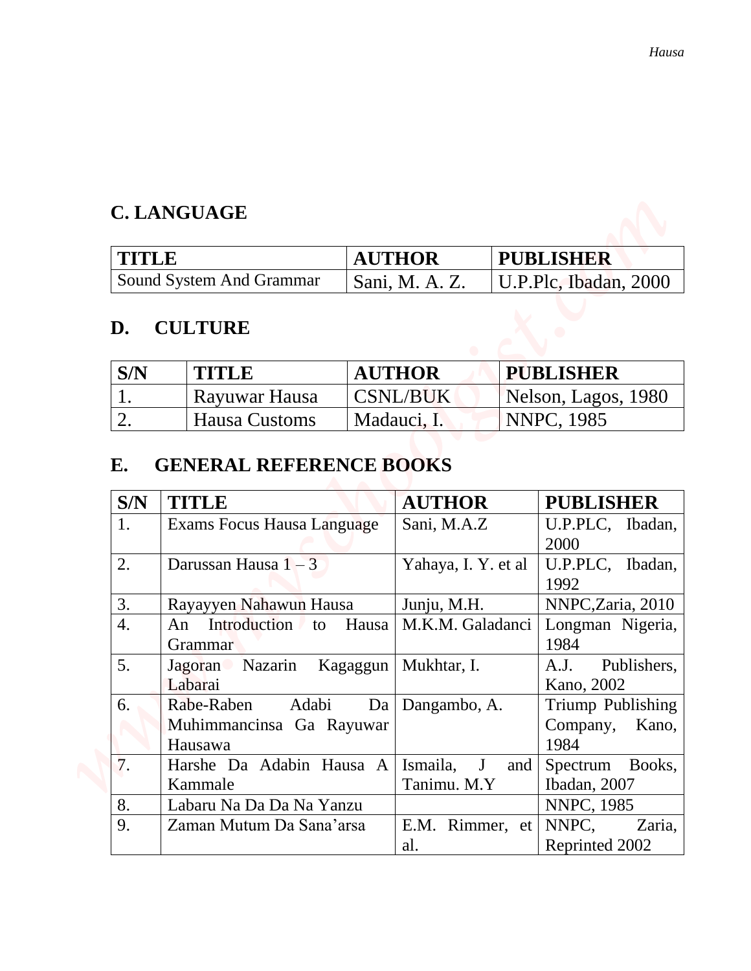## **C. LANGUAGE**

| TITLE                      | <b>AUTHOR</b>  | <b>PUBLISHER</b>              |
|----------------------------|----------------|-------------------------------|
| ' Sound System And Grammar | Sani, M. A. Z. | $\vert$ U.P.Plc, Ibadan, 2000 |

## **D. CULTURE**

| S/N | <b>TITLE</b>  | <b>AUTHOR</b> | <b>PUBLISHER</b>    |
|-----|---------------|---------------|---------------------|
|     | Rayuwar Hausa | CSNL/BUK      | Nelson, Lagos, 1980 |
|     | Hausa Customs | Madauci, I.   | <b>NNPC, 1985</b>   |

# **E. GENERAL REFERENCE BOOKS**

|              |                      |                                                            |               |                              |                     | Hausa                                                                                                    |
|--------------|----------------------|------------------------------------------------------------|---------------|------------------------------|---------------------|----------------------------------------------------------------------------------------------------------|
|              |                      | <b>C. LANGUAGE</b>                                         |               |                              |                     |                                                                                                          |
| <b>TITLE</b> |                      |                                                            | <b>AUTHOR</b> |                              | <b>PUBLISHER</b>    |                                                                                                          |
|              |                      | Sound System And Grammar                                   |               | Sani, M. A. Z.               |                     | U.P.Plc, Ibadan, 2000                                                                                    |
| D.           |                      | <b>CULTURE</b>                                             |               |                              |                     |                                                                                                          |
| S/N          |                      | <b>TITLE</b>                                               |               | <b>AUTHOR</b>                |                     | <b>PUBLISHER</b>                                                                                         |
| 1.           |                      | Rayuwar Hausa                                              |               | <b>CSNL/BUK</b>              | Nelson, Lagos, 1980 |                                                                                                          |
| 2.           | <b>Hausa Customs</b> |                                                            |               | Madauci, I.                  |                     | <b>NNPC, 1985</b>                                                                                        |
| E.<br>S/N    |                      | <b>GENERAL REFERENCE BOOKS</b><br><b>TITLE</b>             |               | <b>AUTHOR</b>                |                     | <b>PUBLISHER</b>                                                                                         |
|              |                      | Exams Focus Hausa Language                                 |               | Sani, M.A.Z                  |                     | U.P.PLC, Ibadan,<br>2000                                                                                 |
| 1.           |                      |                                                            |               |                              |                     |                                                                                                          |
| 2.           |                      | Darussan Hausa $1-3$                                       |               | Yahaya, I. Y. et al          |                     | U.P.PLC, Ibadan,<br>1992                                                                                 |
| 3.           |                      | Rayayyen Nahawun Hausa                                     |               | Junju, M.H.                  |                     |                                                                                                          |
| 4.           |                      | An Introduction<br>to<br>Grammar                           | Hausa         | M.K.M. Galadanci             |                     | 1984                                                                                                     |
| 5.           |                      | Nazarin<br>Jagoran<br>Labarai                              | Kagaggun      | Mukhtar, I.                  |                     | A.J.<br>Kano, 2002                                                                                       |
| 6.           |                      | Rabe-Raben<br>Adabi<br>Muhimmancinsa Ga Rayuwar<br>Hausawa | Da            | Dangambo, A.                 |                     | Company,<br>1984                                                                                         |
| 7.           |                      | Harshe Da Adabin Hausa A<br>Kammale                        |               | Ismaila,<br>J<br>Tanimu. M.Y | and                 | NNPC, Zaria, 2010<br>Spectrum<br>Ibadan, 2007                                                            |
| 8.<br>9.     |                      | Labaru Na Da Da Na Yanzu<br>Zaman Mutum Da Sana'arsa       |               | E.M. Rimmer, et              |                     | Longman Nigeria,<br>Publishers,<br>Triump Publishing<br>Kano,<br>Books,<br>NNPC, 1985<br>NNPC,<br>Zaria, |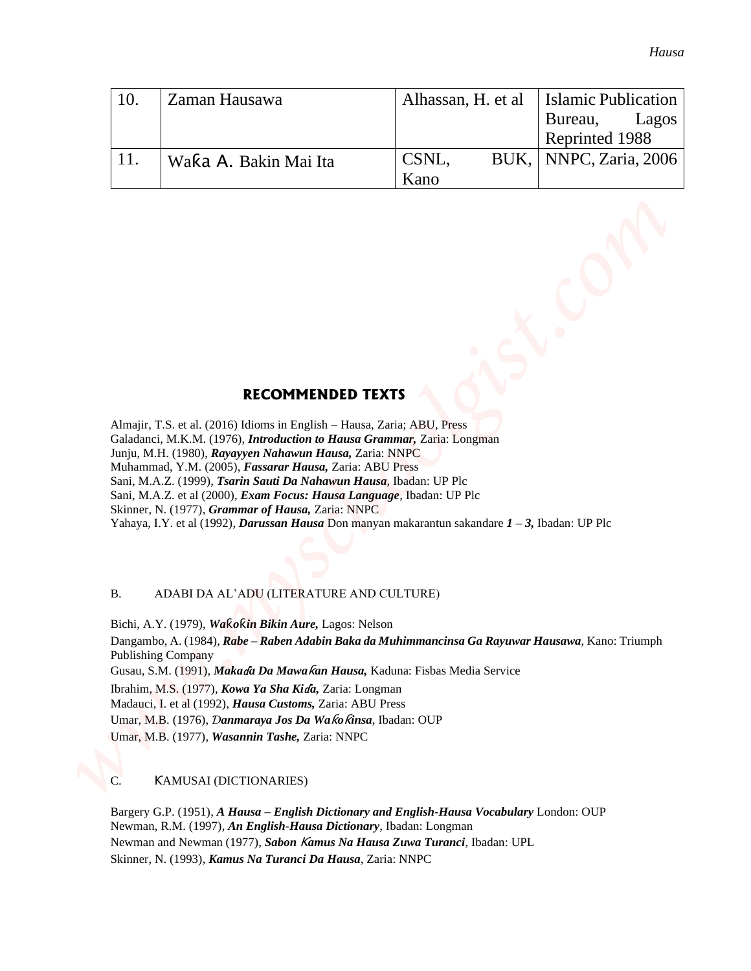| 10. | Zaman Hausawa         | Alhassan, H. et al. | <b>Islamic Publication</b> |  |
|-----|-----------------------|---------------------|----------------------------|--|
|     |                       |                     | Bureau,<br>Lagos           |  |
|     |                       |                     | Reprinted 1988             |  |
|     | Waka A. Bakin Mai Ita | CSNL,               | BUK,   NNPC, Zaria, 2006   |  |
|     |                       | Kano                |                            |  |

### **RECOMMENDED TEXTS**

Almajir, T.S. et al. (2016) Idioms in English – Hausa, Zaria; ABU, Press Galadanci, M.K.M. (1976), *Introduction to Hausa Grammar,* Zaria: Longman Junju, M.H. (1980), *Rayayyen Nahawun Hausa,* Zaria: NNPC Muhammad, Y.M. (2005), *Fassarar Hausa,* Zaria: ABU Press Sani, M.A.Z. (1999), *Tsarin Sauti Da Nahawun Hausa*, Ibadan: UP Plc Sani, M.A.Z. et al (2000), *Exam Focus: Hausa Language*, Ibadan: UP Plc Skinner, N. (1977), *Grammar of Hausa,* Zaria: NNPC Yahaya, I.Y. et al (1992), *Darussan Hausa* Don manyan makarantun sakandare *1 – 3,* Ibadan: UP Plc

#### B. ADABI DA AL'ADU (LITERATURE AND CULTURE)

Bichi, A.Y. (1979), *Wa*ƙ*o*ƙ*in Bikin Aure,* Lagos: Nelson Dangambo, A. (1984), *Rabe – Raben Adabin Baka da Muhimmancinsa Ga Rayuwar Hausawa*, Kano: Triumph Publishing Company Gusau, S.M. (1991), *Maka*ɗ*a Da Mawa*ƙ*an Hausa,* Kaduna: Fisbas Media Service Ibrahim, M.S. (1977), *Kowa Ya Sha Ki*ɗ*a,* Zaria: Longman Madauci, I. et al (1992), *Hausa Customs,* Zaria: ABU Press Umar, M.B. (1976), *Ɗanmaraya Jos Da Wa*ƙ*o*ƙ*insa*, Ibadan: OUP Umar, M.B. (1977), *Wasannin Tashe,* Zaria: NNPC **Example 12. Walked A. Patrick Note That are also as the server of the server of the server of the server of the server of the server of the server of the server of the server of the server of the server of the server of** 

#### C. ƘAMUSAI (DICTIONARIES)

Bargery G.P. (1951), *A Hausa – English Dictionary and English-Hausa Vocabulary* London: OUP Newman, R.M. (1997), *An English-Hausa Dictionary*, Ibadan: Longman Newman and Newman (1977), *Sabon* Ƙ*amus Na Hausa Zuwa Turanci*, Ibadan: UPL Skinner, N. (1993), *Kamus Na Turanci Da Hausa*, Zaria: NNPC